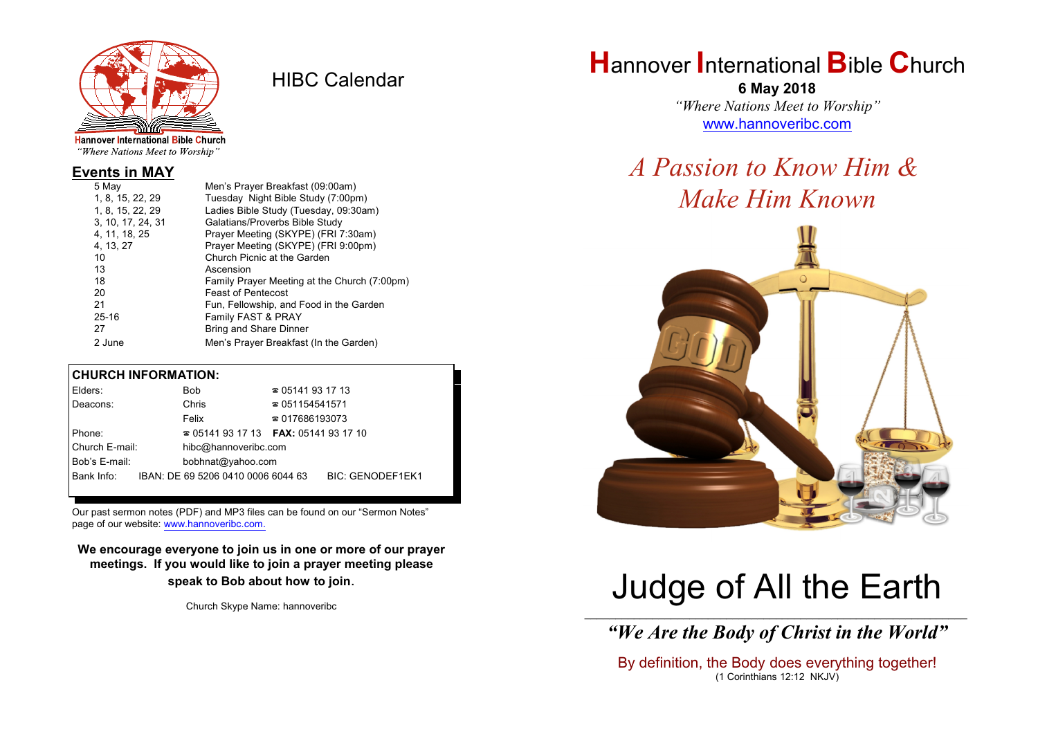

HIBC Calendar

"Where Nations Meet to Worship"

## **Events in MAY**

| Men's Prayer Breakfast (09:00am)             |
|----------------------------------------------|
| Tuesday Night Bible Study (7:00pm)           |
| Ladies Bible Study (Tuesday, 09:30am)        |
| Galatians/Proverbs Bible Study               |
| Prayer Meeting (SKYPE) (FRI 7:30am)          |
| Prayer Meeting (SKYPE) (FRI 9:00pm)          |
| Church Picnic at the Garden                  |
| Ascension                                    |
| Family Prayer Meeting at the Church (7:00pm) |
| <b>Feast of Pentecost</b>                    |
| Fun, Fellowship, and Food in the Garden      |
| Family FAST & PRAY                           |
| <b>Bring and Share Dinner</b>                |
| Men's Prayer Breakfast (In the Garden)       |
|                                              |

### **CHURCH INFORMATION:**

| Elders:        | Bob                                      | $\approx 05141931713$  |                         |
|----------------|------------------------------------------|------------------------|-------------------------|
| Deacons:       | Chris                                    | $\approx 051154541571$ |                         |
|                | Felix                                    | $\approx 017686193073$ |                         |
| Phone:         | $\approx 05141931713$ FAX: 0514193 17 10 |                        |                         |
| Church E-mail: | hibc@hannoveribc.com                     |                        |                         |
| Bob's E-mail:  | bobhnat@yahoo.com                        |                        |                         |
| Bank Info:     | IBAN: DE 69 5206 0410 0006 6044 63       |                        | <b>BIC: GENODEF1EK1</b> |
|                |                                          |                        |                         |

Our past sermon notes (PDF) and MP3 files can be found on our "Sermon Notes" page of our website: [www.hannoveribc.com.](http://www.hannoveribc.com.)

**We encourage everyone to join us in one or more of our prayer meetings. If you would like to join a prayer meeting please speak to Bob about how to join**.

Church Skype Name: hannoveribc

# **H**annover **I**nternational **B**ible **C**hurch

**6 May 2018** *"Where Nations Meet to Worship"* [www.hannoveribc.com](http://www.hannoveribc.com)

# *A Passion to Know Him & Make Him Known*



# Judge of All the Earth

\_\_\_\_\_\_\_\_\_\_\_\_\_\_\_\_\_\_\_\_\_\_\_\_\_\_\_\_\_\_\_\_\_\_\_\_\_\_\_\_\_\_\_\_\_\_\_\_\_\_\_\_\_\_\_\_\_\_\_\_\_\_ *"We Are the Body of Christ in the World"*

By definition, the Body does everything together! (1 Corinthians 12:12 NKJV)